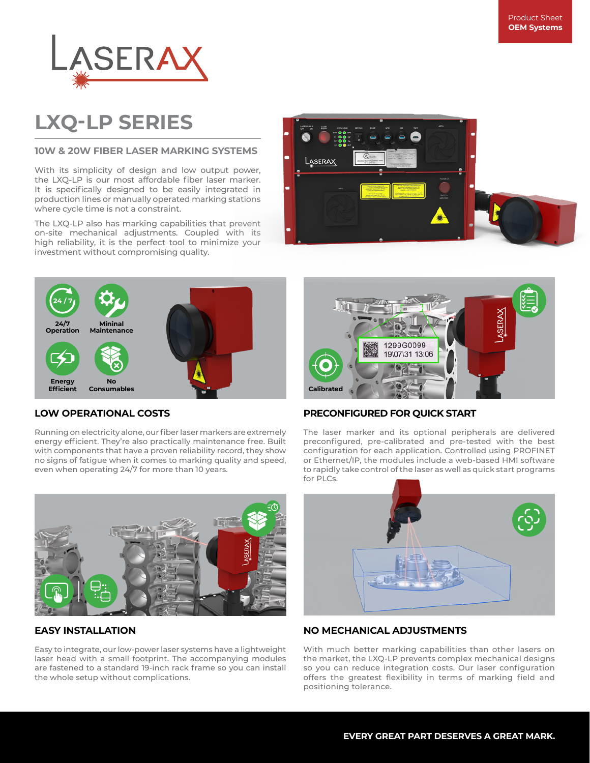

# **LXQ-LP SERIES**

#### **10W & 20W FIBER LASER MARKING SYSTEMS**

With its simplicity of design and low output power, the LXQ-LP is our most affordable fiber laser marker. It is specifically designed to be easily integrated in production lines or manually operated marking stations where cycle time is not a constraint.

The LXQ-LP also has marking capabilities that prevent on-site mechanical adjustments. Coupled with its high reliability, it is the perfect tool to minimize your investment without compromising quality.





## **LOW OPERATIONAL COSTS**

Running on electricity alone, our fiber laser markers are extremely energy efficient. They're also practically maintenance free. Built with components that have a proven reliability record, they show no signs of fatigue when it comes to marking quality and speed, even when operating 24/7 for more than 10 years.



#### **PRECONFIGURED FOR QUICK START**

The laser marker and its optional peripherals are delivered preconfigured, pre-calibrated and pre-tested with the best configuration for each application. Controlled using PROFINET or Ethernet/IP, the modules include a web-based HMI software to rapidly take control of the laser as well as quick start programs for PLCs.



#### **EASY INSTALLATION**

Easy to integrate, our low-power laser systems have a lightweight laser head with a small footprint. The accompanying modules are fastened to a standard 19-inch rack frame so you can install the whole setup without complications.



## **NO MECHANICAL ADJUSTMENTS**

With much better marking capabilities than other lasers on the market, the LXQ-LP prevents complex mechanical designs so you can reduce integration costs. Our laser configuration offers the greatest flexibility in terms of marking field and positioning tolerance.